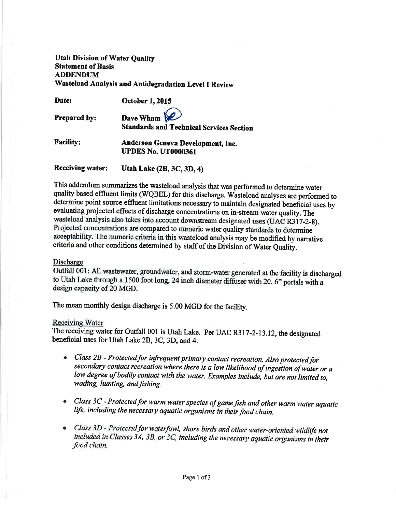# **Utah Division of Water Ouality Statement of Basis ADDENDUM** Wasteload Analysis and Antidegradation Level I Review

Date: **October 1, 2015** 

Prepared by:

Dave Wham **Standards and Technical Services Section** 

**Facility:** 

Anderson Geneva Development, Inc. **UPDES No. UT0000361** 

**Receiving water:** Utah Lake (2B, 3C, 3D, 4)

This addendum summarizes the wasteload analysis that was performed to determine water quality based effluent limits (WQBEL) for this discharge. Wasteload analyses are performed to determine point source effluent limitations necessary to maintain designated beneficial uses by evaluating projected effects of discharge concentrations on in-stream water quality. The wasteload analysis also takes into account downstream designated uses (UAC R317-2-8). Projected concentrations are compared to numeric water quality standards to determine acceptability. The numeric criteria in this wasteload analysis may be modified by narrative criteria and other conditions determined by staff of the Division of Water Quality.

# Discharge

Outfall 001: All wastewater, groundwater, and storm-water generated at the facility is discharged to Utah Lake through a 1500 foot long, 24 inch diameter diffuser with 20, 6" portals with a design capacity of 20 MGD.

The mean monthly design discharge is 5.00 MGD for the facility.

# Receiving Water

The receiving water for Outfall 001 is Utah Lake. Per UAC R317-2-13.12, the designated beneficial uses for Utah Lake 2B, 3C, 3D, and 4.

- Class 2B Protected for infrequent primary contact recreation. Also protected for secondary contact recreation where there is a low likelihood of ingestion of water or a low degree of bodily contact with the water. Examples include, but are not limited to, wading, hunting, and fishing.
- Class  $3C$  Protected for warm water species of game fish and other warm water aquatic life, including the necessary aquatic organisms in their food chain.
- Class 3D Protected for waterfowl, shore birds and other water-oriented wildlife not included in Classes 3A, 3B, or 3C, including the necessary aquatic organisms in their food chain.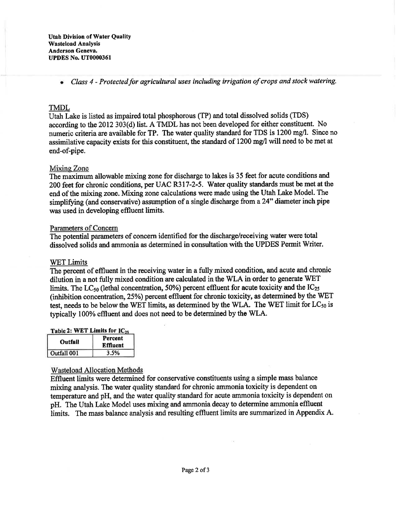• Class 4 - Protected for agricultural uses including irrigation of crops and stock watering.

# TMDL

Utah Lake is listed as impaired total phosphorous (TP) and total dissolved solids (TDS) according to the 2012 303(d) list. A TMDL has not been developed for either constituent. No numeric criteria are available for TP. The water quality standard for TDS is 1200 mg/I. Since no assimilative capacity exists for this constituent, the standard of 1200 mg/l will need to be met at end-of-pipe.

# Mixing Zone

The maximum allowable mixing zone for discharge to lakes is 35 feet for acute conditions and 200 feet for chronic conditions, per UAC R317-2-5. Water quallty standards must be met at the end of the mixing zone. Mixing zone calculations were made using the Utah Lake Model. The simplifying (and conservative) assumption of a single discharge from a 24" diameter inch pipe was used in developing effluent limits.

# Parameters of Concern

The potential parameters of concern identified for the discharge/receiving water were total dissolved solids and ammonia as determined in consultation with the UPDES Permit Writer.

# WET Limits

The percent of effluent in the receiving water in a fully mixed condition, and acute and chronio dilution in a not fully mixed condition are calculated in the WLA in order to generate WET limits. The  $LC_{50}$  (lethal concentration, 50%) percent effluent for acute toxicity and the  $IC_{25}$  $(i<sub>n</sub>$ hibition concentration, 25%) percent effluent for chronic toxicity, as determined by the WET test, needs to be below the WET limits, as determined by the WLA. The WET limit for  $LC_{50}$  is typically 100% cfiluent and does not need to bo dotermined by the WLA.

# Table 2: WET Limits for  $IC_{25}$

| Outfall     | Percent<br><b>Effluent</b> |
|-------------|----------------------------|
| Outfall 001 | 3.5%                       |

# Wasteload Allocation Methods

Effluent limits were determined for conservative constituents using a simple mass balance mixing analysis. The water quality standard for chronic ammonia toxicity is dependent on temperature and pH, and the water quality standard for acute ammonia toxicity is dependent on pH. The Utah Lake Model uses mixing and ammonia decay to determine ammonia effluent limits. The mass balance analysis and resulting effluent limits are summarized in Appendix A.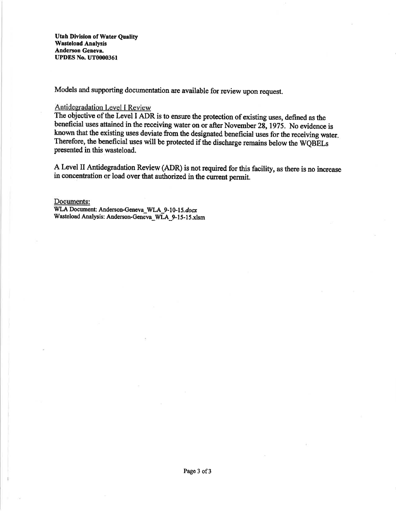**Utah Division of Water Quality Wasteload Analysis** Anderson Geneva. **UPDES No. UT0000361** 

Models and supporting documentation are available for review upon request.

# **Antidegradation Level I Review**

The objective of the Level I ADR is to ensure the protection of existing uses, defined as the beneficial uses attained in the receiving water on or after November 28, 1975. No evidence is known that the existing uses deviate from the designated beneficial uses for the receiving water. Therefore, the beneficial uses will be protected if the discharge remains below the WQBELs presented in this wasteload.

A Level II Antidegradation Review (ADR) is not required for this facility, as there is no increase in concentration or load over that authorized in the current permit.

## Documents:

WLA Document: Anderson-Geneva\_WLA\_9-10-15.docx Wasteload Analysis: Anderson-Geneva\_WLA\_9-15-15.xlsm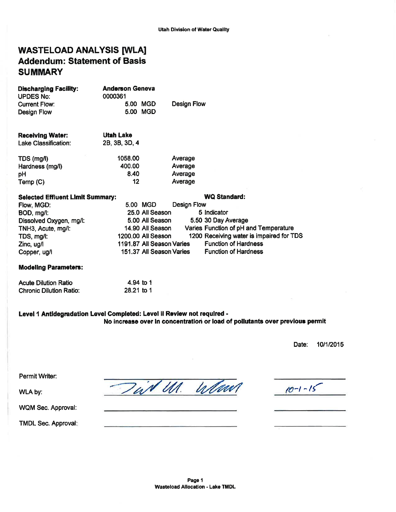# **WASTELOAD ANALYSIS [WLA] Addendum: Statement of Basis SUMMARY**

| <b>Discharging Facility:</b><br><b>UPDES No:</b> | <b>Anderson Geneva</b><br>0000361 |                           |             |                                          |
|--------------------------------------------------|-----------------------------------|---------------------------|-------------|------------------------------------------|
| <b>Current Flow:</b>                             |                                   | 5.00 MGD                  | Design Flow |                                          |
| <b>Design Flow</b>                               |                                   | 5.00 MGD                  |             |                                          |
|                                                  |                                   |                           |             |                                          |
| <b>Receiving Water:</b>                          | <b>Utah Lake</b>                  |                           |             |                                          |
| Lake Classification:                             | 2B, 3B, 3D, 4                     |                           |             |                                          |
| TDS (mg/l)                                       | 1058.00                           |                           | Average     |                                          |
| Hardness (mg/l)                                  | 400.00                            |                           | Average     |                                          |
| рH                                               | 8.40                              |                           | Average     |                                          |
| Temp (C)                                         | $12 \,$                           |                           | Average     |                                          |
| <b>Selected Effluent Limit Summary:</b>          |                                   |                           |             | <b>WQ Standard:</b>                      |
| Flow, MGD:                                       |                                   | 5.00 MGD                  | Design Flow |                                          |
| BOD, mg/l:                                       |                                   | 25.0 All Season           |             | 5 Indicator                              |
| Dissolved Oxygen, mg/l:                          |                                   | 5.00 All Season           |             | 5.50 30 Day Average                      |
| TNH3, Acute, mg/l:                               |                                   | 14.90 All Season          |             | Varies Function of pH and Temperature    |
| TDS, mg/l:                                       |                                   | 1200.00 All Season        |             | 1200 Receiving water is impaired for TDS |
| Zinc, ug/l                                       |                                   | 1191.87 All Season Varies |             | <b>Function of Hardness</b>              |
| Copper, ug/l                                     |                                   | 151.37 All Season Varies  |             | <b>Function of Hardness</b>              |
| <b>Modeling Parameters:</b>                      |                                   |                           |             |                                          |
| <b>Acute Dilution Ratio</b>                      | 4.94 to 1                         |                           |             |                                          |
| <b>Chronic Dilution Ratio:</b>                   | 28.21 to 1                        |                           |             |                                          |

Level 1 Antidegradation Level Completed: Level II Review not required -No increase over In concentration or load of pollutants over previous permit

> Date: 10/1/2015

Permit Writer:

WLA by:

WQM Sec. Approval:

**TMDL Sec. Approval:** 

Til U. When

 $10 - 1 - 15$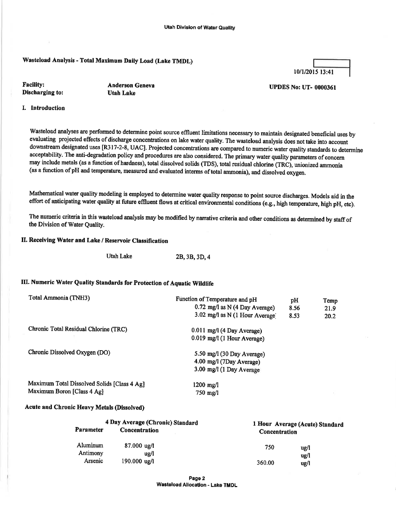# lVasteload Analysis - Total Maximum Daily Load (Lake TMDL)

10/1/2015 13:41

Facility: Discharging to: Anderson Geneva Utah Lake

IIPDES No: UT- 0000361

#### I. Introduction

Wasteload analyses are performed to determine point source eflluent limitations necessary to maintain designated beneficial uses by evaluating projected effects of discharge concentrations on lake water quality. The wasteload analysis does not take into account downstream designated uses [R317-2-8, UAC]. Projected concentrations are compared to numeric water quality standards to determine acceptability. The anti-degradation policy and procedures are also considered. The primary water quality parameters of concern may include metals (as a function of hardness), total dissolved solids (TDS), total residual chlorine (TRC), unionized ammonia (as a function of pH and temperature, measured and evaluated interms of total ammonia), and dissolved oxygen.

Mathematical water quality modeling is employed to determine water quality response to point source discharges. Models aid in the effort of anticipating water quality at future effluent flows at critical environmental conditions (e.g., high temperature, high pH, etc).

The numeric criteria in this wasteload analysis may be modified by narrative criteria and other conditions as determined by staff of the Division of Water Quality.

## II. Receiving Water and Lake / Reservoir Classification

| Utah Lake | 2B, 3B, 3D, 4 |
|-----------|---------------|

# III. Numeric Water Quality Standards for Protection of Aquatic Wildlife

| Total Ammonia (TNH3)                        | Function of Temperature and pH  | pН   | Temp |  |
|---------------------------------------------|---------------------------------|------|------|--|
|                                             | 0.72 mg/l as N (4 Day Average)  | 8.56 | 21.9 |  |
|                                             | 3.02 mg/l as N (1 Hour Average) | 8.53 | 20.2 |  |
| Chronic Total Residual Chlorine (TRC)       | $0.011$ mg/l (4 Day Average)    |      |      |  |
|                                             | $0.019$ mg/l (1 Hour Average)   |      |      |  |
| Chronic Dissolved Oxygen (DO)               | 5.50 mg/l (30 Day Average)      |      |      |  |
|                                             | 4.00 mg/l (7Day Average)        |      |      |  |
|                                             | 3.00 mg/l (1 Day Average        |      |      |  |
| Maximum Total Dissolved Solids [Class 4 Ag] | $1200$ mg/l                     |      |      |  |
| Maximum Boron [Class 4 Ag]                  | 750 mg/l                        |      |      |  |

## Acute and Chronic Heavy Metals (Dissolved)

| 4 Day Average (Chronic) Standard  |                             | 1 Hour Average (Acute) Standard |                                               |  |
|-----------------------------------|-----------------------------|---------------------------------|-----------------------------------------------|--|
| Parameter<br><b>Concentration</b> |                             | <b>Concentration</b>            |                                               |  |
| Aluminum<br>Antimony              | $87.000 \text{ kg}$<br>ug/l | 750                             | $\frac{u}{2}$                                 |  |
| Arsenic                           | $190.000 \text{ ug/l}$      | 360.00                          | $\mathbf{u} \mathbf{g}/\mathbf{l}$<br>$u$ g/l |  |

Page 2 Westeload Allocation - Lake TMDL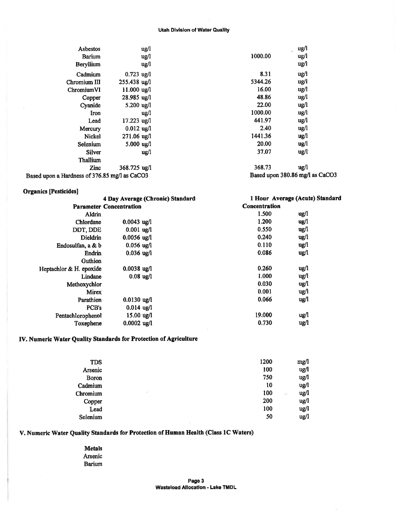| Asbestos                                      | ug/l                   |         | ug/l                            |
|-----------------------------------------------|------------------------|---------|---------------------------------|
| Barium                                        | ug/l                   | 1000.00 | ug/l                            |
| <b>Beryllium</b>                              | ug/l                   |         | ug/l                            |
| Cadmium                                       | $0.723$ ug/l           | 8.31    | ug/l                            |
| Chromium III                                  | 255.438 ug/l           | 5344.26 | ug/l                            |
| ChromiumVI                                    | $11.000$ ug/l          | 16.00   | ug/l                            |
| Copper                                        | 28.985 ug/l            | 48.86   | ug/l                            |
| Cyanide                                       | 5.200 $\mu$ /l         | 22.00   | ug/l                            |
| <b>Iron</b>                                   | ug/l                   | 1000.00 | ug/l                            |
| Lead                                          | $17.223 \text{ ug/l}$  | 441.97  | ug/l                            |
| Mercury                                       | $0.012 \text{ ug}$     | 2.40    | ug/l                            |
| Nickel                                        | $271.06$ ug/l          | 1441.36 | ug/l                            |
| Selenium                                      | 5.000 $\mu$ g/l        | 20.00   | ug/l                            |
| Silver                                        | ug/l                   | 37.07   | ug/l                            |
| Thallium                                      |                        |         |                                 |
| Zinc                                          | $368.725 \text{ ug/l}$ | 368.73  | ug/l                            |
| Based upon a Hardness of 376.85 mg/l as CaCO3 |                        |         | Based upon 380.86 mg/l as CaCO3 |

## **Organics [Pesticides]**

|                         | 4 Day Average (Chronic) Standard |               | 1 Hour Average (Acute) Standard |
|-------------------------|----------------------------------|---------------|---------------------------------|
|                         | <b>Parameter Concentration</b>   | Concentration |                                 |
| Aldrin                  |                                  | 1.500         | ug/l                            |
| Chlordane               | $0.0043$ ug/l                    | 1.200         | ug/l                            |
| DDT, DDE                | $0.001$ ug/l                     | 0.550         | ug/l                            |
| <b>Dieldrin</b>         | $0.0056 \text{ ug}$ /            | 0.240         | ug/l                            |
| Endosulfan, a & b       | $0.056$ ug/l                     | 0.110         | ug/l                            |
| Endrin                  | $0.036 \text{ ug/l}$             | 0.086         | ug/l                            |
| Guthion                 |                                  |               |                                 |
| Heptachlor & H. epoxide | $0.0038 \text{ ug}$              | 0.260         | ug/l                            |
| Lindane                 | $0.08 \text{ ug}$                | 1.000         | ug/l                            |
| Methoxychlor            |                                  | 0.030         | ug/l                            |
| <b>Mirex</b>            |                                  | 0.001         | ug/l                            |
| Parathion               | $0.0130 \text{ ug/l}$            | 0.066         | ug/l                            |
| PCB's                   | $0.014 \text{ ug}$               |               |                                 |
| Pentachlorophenol       | 15.00 ug/l                       | 19.000        | ug/l                            |
| Toxephene               | $0.0002 \text{ ug/l}$            | 0.730         | ug/l                            |

## IV. Numeric Water Quality Standards for Protection of Agriculture

| <b>TDS</b>   | 1200 |     | mg/l |
|--------------|------|-----|------|
| Arsenic      | 100  |     | ug/l |
| <b>Boron</b> | 750  |     | ug/l |
| Cadmium      | 10   |     | ug/l |
| Chromium     | 100  | 263 | ug/l |
| Copper       | 200  |     | ug/l |
| Lead         | 100  |     | ug/l |
| Selenium     | 50   |     | ug/l |

# V. Numeric Water Quality Standards for Protection of Human Health (Class 1C Waters)

**Metals** Arsenic **Barium**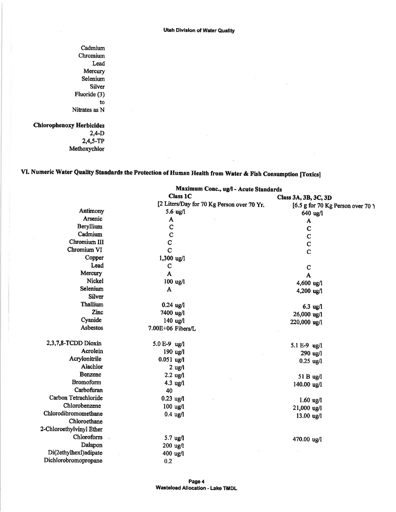Cadmium Chromium Lead Mercury Selenium Silver Fluoride (3) to Nitrates as N

## **Chlorophenoxy Herbicides**  $2,4-D$  $2,4,5-TP$ Methoxychlor

# VI. Numeric Water Quality Standards the Protection of Human Health from Water & Fish Consumption [Toxics]

|                          |                   | Maximum Conc., ug/l - Acute Standards      |                                   |  |
|--------------------------|-------------------|--------------------------------------------|-----------------------------------|--|
|                          |                   | <b>Class 1C</b>                            | Class 3A, 3B, 3C, 3D              |  |
|                          |                   | [2 Liters/Day for 70 Kg Person over 70 Yr. | [6.5 g for 70 Kg Person over 70 } |  |
| Antimony                 |                   | 5.6 ug/l                                   | 640 ug/l                          |  |
| Arsenic                  | A                 |                                            | A                                 |  |
| <b>Beryllium</b>         | $\mathbf C$       |                                            | $\mathbf C$                       |  |
| Cadmium                  | $\mathbf C$       |                                            | $\overline{C}$                    |  |
| Chromium III             | $\mathbf C$       |                                            | $\mathbf C$                       |  |
| Chromium VI              | $\overline{C}$    |                                            | $\overline{c}$                    |  |
| Copper                   | 1,300 ug/l        |                                            |                                   |  |
| Lead                     | $\mathbf C$       |                                            | $\mathbf C$                       |  |
| Mercury                  | A                 |                                            | $\mathbf{A}$                      |  |
| Nickel                   |                   | 100 ug/l                                   | 4,600 ug/l                        |  |
| Selenium                 | $\mathbf{A}$      |                                            | 4,200 ug/l                        |  |
| <b>Silver</b>            |                   |                                            |                                   |  |
| Thallium                 |                   | $0.24 \text{ ug}/1$                        | 6.3 ug/l                          |  |
| Zinc                     | 7400 ug/l         |                                            | 26,000 ug/l                       |  |
| Cyanide                  |                   | 140 ug/l                                   | 220,000 ug/l                      |  |
| Asbestos                 | 7.00E+06 Fibers/L |                                            |                                   |  |
| 2,3,7,8-TCDD Dioxin      | 5.0 E-9 ug/l      |                                            | 5.1 E-9 ug/l                      |  |
| Acrolein                 |                   | 190 ug/l                                   | 290 ug/l                          |  |
| Acrylonitrile            | $0.051$ ug/l      |                                            | $0.25 \text{ ug}/l$               |  |
| Alachlor                 |                   | $2 \text{ ug}/l$                           |                                   |  |
| <b>Benzene</b>           |                   | $2.2 \text{ ug}/l$                         | 51 B ug/l                         |  |
| <b>Bromoform</b>         |                   | 4.3 ug/l                                   | 140.00 ug/l                       |  |
| Carbofuran               | 40                |                                            |                                   |  |
| Carbon Tetrachloride     |                   | $0.23$ ug/l                                | $1.60$ ug/l                       |  |
| Chlorobenzene            |                   | 100 ug/l                                   | 21,000 ug/l                       |  |
| Chlorodibromomethane     |                   | $0.4 \text{ ug}/l$                         | $13.00 \text{ ug}/1$              |  |
| Chloroethane             |                   |                                            |                                   |  |
| 2-Chloroethylvinyl Ether |                   |                                            |                                   |  |
| Chloroform               | $\bar{c}$         | 5.7 ug/l                                   | 470.00 ug/l                       |  |
| Dalapon                  |                   | 200 ug/l                                   |                                   |  |
| Di(2ethylhexl)adipate    |                   | 400 ug/l                                   |                                   |  |
| Dichlorobromopropane     | 0.2               |                                            |                                   |  |
|                          |                   |                                            |                                   |  |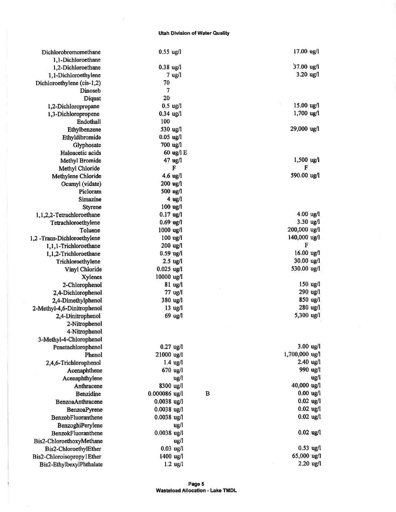| Dichlorobromomethane        | $0.55$ ug/l        |                   | 17.00 ug/l          |
|-----------------------------|--------------------|-------------------|---------------------|
| 1,1-Dichloroethane          |                    |                   |                     |
| 1,2-Dichloroethane          | $0.38$ ug/l        |                   | 37.00 ug/l          |
| 1,1-Dichloroethylene        |                    | $7 \text{ ug}$    | 3.20 ug/l           |
| Dichloroethylene (cis-1,2)  | 70                 |                   |                     |
| Dinoseb                     | $\overline{7}$     |                   |                     |
| Diquat                      | 20                 |                   |                     |
| 1,2-Dichloropropane         | $0.5$ ug/l         |                   | 15.00 ug/l          |
| 1,3-Dichloropropene         | $0.34$ ug/l        |                   | 1,700 ug/l          |
| Endothall                   | 100                |                   |                     |
| Ethylbenzene                | 530 ug/l           |                   | 29,000 ug/l         |
| Ethyldibromide              | $0.05$ ug/l        |                   |                     |
| Glyphosate                  | 700 ug/l           |                   |                     |
| Haloacetic acids            |                    | 60 ug/l E         |                     |
| Methyl Bromide              | 47 ug/l            |                   | 1,500 ug/l          |
| Methyl Chloride             |                    | F                 | F                   |
| Methylene Chloride          | $4.6 \text{ ug}/l$ |                   | 590.00 ug/l         |
| Ocamyl (vidate)             | 200 ug/l           |                   |                     |
| Picloram                    | 500 ug/l           |                   |                     |
| Simazine                    |                    | $4$ ug/l          |                     |
| <b>Styrene</b>              | $100$ ug/l         |                   |                     |
| 1,1,2,2-Tetrachloroethane   | $0.17$ ug/l        |                   | $4.00 \text{ ug}/1$ |
| Tetrachloroethylene         | $0.69$ ug/l        |                   | 3.30 ug/l           |
| Toluene                     | 1000 ug/l          |                   | 200,000 ug/l        |
| 1,2 -Trans-Dichloroethylene | 100 ug/l           |                   | 140,000 ug/l        |
| 1,1,1-Trichloroethane       | 200 ug/l           |                   | $\mathbf{F}$        |
| 1,1,2-Trichloroethane       | $0.59$ ug/l        |                   | 16.00 ug/l          |
| Trichloroethylene           | $2.5 \text{ ug/l}$ |                   | 30.00 ug/l          |
| Vinyl Chloride              | $0.025$ ug/l       |                   | 530.00 ug/l         |
| <b>Xylenes</b>              | 10000 ug/l         |                   |                     |
| 2-Chlorophenol              |                    | $81 \text{ ug}/l$ | 150 ug/l            |
| 2,4-Dichlorophenol          |                    | 77 ug/l           | 290 ug/l            |
| 2,4-Dimethylphenol          | 380 ug/l           |                   | 850 ug/l            |
| 2-Methyl-4,6-Dinitrophenol  |                    | $13 \text{ ug}/l$ | 280 ug/l            |
| 2,4-Dinitrophenol           |                    | 69 ug/l           | 5,300 ug/l          |
| 2-Nitrophenol               |                    |                   |                     |
| 4-Nitrophenol               |                    |                   |                     |
| 3-Methyl-4-Chlorophenol     |                    |                   |                     |
| Penetachlorophenol          | $0.27$ ug/l        |                   | $3.00$ ug/l         |
| Phenol                      | 21000 ug/l         |                   | 1,700,000 ug/l      |
| 2,4,6-Trichlorophenol       |                    | $1.4$ ug/l        | 2.40 ug/l           |
| Acenaphthene                | 670 ug/l           |                   | 990 ug/l            |
| Acenaphthylene              |                    | ug/l              | ug/l                |
| Anthracene                  | 8300 ug/l          |                   | 40,000 ug/l         |
| <b>Benzidine</b>            | 0.000086 ug/l      | B                 | $0.00$ ug/l         |
|                             | $0.0038$ ug/l      |                   | $0.02$ ug/l         |
| BenzoaAnthracene            |                    |                   | $0.02$ ug/l         |
| BenzoaPyrene                | $0.0038$ ug/l      |                   | $0.02 \text{ ug/l}$ |
| BenzobFluoranthene          | $0.0038$ ug/l      |                   |                     |
| BenzoghiPerylene            |                    | ug/l              |                     |
| BenzokFluoranthene          | $0.0038$ ug/l      |                   | $0.02$ ug/l         |
| Bis2-ChloroethoxyMethane    |                    | ug/l              |                     |
| Bis2-ChloroethylEther       | $0.03$ ug/l        |                   | $0.53$ ug/l         |
| Bis2-Chloroisopropy1Ether   | 1400 ug/l          |                   | 65,000 ug/l         |
| Bis2-EthylbexylPhthalate    |                    | $1.2$ ug/l        | 2.20 ug/l           |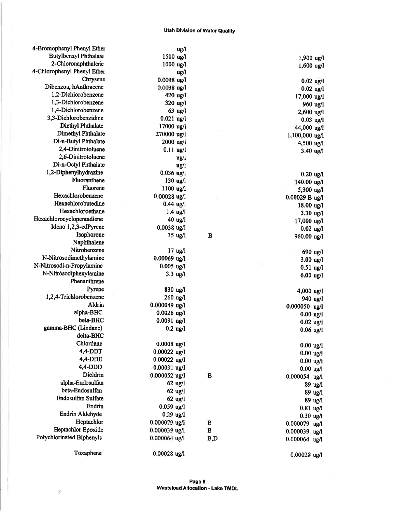| 4-Bromophenyl Phenyl Ether   |                     | ug/l              |                |
|------------------------------|---------------------|-------------------|----------------|
| <b>Butylbenzyl Phthalate</b> | 1500 ug/l           |                   | 1,900 ug/l     |
| 2-Chloronaphthalene          | 1000 ug/l           |                   | $1,600$ ug/l   |
| 4-Chlorophenyl Phenyl Ether  |                     | ug/l              |                |
| Chrysene                     | $0.0038$ ug/l       |                   | $0.02$ ug/l    |
| Dibenzoa, hAnthracene        | $0.0038$ ug/l       |                   | $0.02$ ug/l    |
| 1,2-Dichlorobenzene          | 420 ug/l            |                   | 17,000 ug/l    |
| 1,3-Dichlorobenzene          | 320 ug/l            |                   | 960 ug/l       |
| 1,4-Dichlorobenzene          |                     | 63 ug/l           | 2,600 ug/l     |
| 3,3-Dichlorobenzidine        | $0.021$ ug/l        |                   | $0.03$ ug/l    |
| Diethyl Phthalate            | 17000 ug/l          |                   | 44,000 ug/l    |
| Dimethyl Phthalate           | 270000 ug/l         |                   | 1,100,000 ug/l |
| Di-n-Butyl Phthalate         | 2000 ug/l           |                   | 4,500 ug/l     |
| 2,4-Dinitrotoluene           | $0.11$ ug/l         |                   |                |
| 2,6-Dinitrotoluene           |                     | ug/l              | 3.40 ug/l      |
| Di-n-Octyl Phthalate         |                     | ug/l              |                |
| 1,2-Diphenylhydrazine        | $0.036$ ug/l        |                   |                |
| Fluoranthene                 |                     |                   | $0.20$ ug/l    |
| Fluorene                     | 130 ug/l            |                   | 140.00 ug/l    |
| Hexachlorobenzene            | $1100 \text{ ug}/1$ |                   | 5,300 ug/l     |
| Hexachlorobutedine           | 0.00028 ug/l        |                   | 0.00029 B ug/l |
| Hexachloroethane             | $0.44 \text{ ug}$   |                   | 18.00 ug/l     |
|                              | $1.4 \text{ ug}/l$  |                   | 3.30 ug/l      |
| Hexachlorocyclopentadiene    | $40 \text{ ug}/l$   |                   | 17,000 ug/l    |
| Ideno 1,2,3-cdPyrene         | $0.0038$ ug/l       |                   | $0.02$ ug/l    |
| Isophorone                   | $35 \text{ ug}/l$   | В                 | 960.00 ug/l    |
| Naphthalene                  |                     |                   |                |
| Nitrobenzene                 |                     | $17 \text{ ug}/l$ | 690 ug/l       |
| N-Nitrosodimethylamine       | 0.00069 ug/l        |                   | 3.00 ug/l      |
| N-Nitrosodi-n-Propylamine    | $0.005$ ug/l        |                   | $0.51$ ug/l    |
| N-Nitrosodiphenylamine       | $3.3 \text{ ug/l}$  |                   | 6.00 ug/l      |
| Phenanthrene                 |                     |                   |                |
| Pyrene                       | 830 ug/l            |                   | 4,000 ug/l     |
| 1,2,4-Trichlorobenzene       | 260 ug/l            |                   | 940 ug/l       |
| Aldrin                       | 0.000049 ug/l       |                   | 0.000050 ug/l  |
| alpha-BHC                    | $0.0026$ ug/l       |                   | $0.00$ ug/l    |
| beta-BHC                     | $0.0091$ ug/l       |                   | $0.02$ ug/l    |
| gamma-BHC (Lindane)          | $0.2$ ug/l          |                   | $0.06$ ug/l    |
| delta-BHC                    |                     |                   |                |
| Chlordane                    | $0.0008$ ug/l       |                   | $0.00$ ug/l    |
| 4,4-DDT                      | $0.00022$ ug/l      |                   | $0.00$ ug/l    |
| 4,4-DDE                      | 0.00022 ug/l        |                   | $0.00$ ug/l    |
| 4,4-DDD                      | $0.00031$ ug/l      |                   | $0.00$ ug/l    |
| Dieldrin                     | $0.000052$ ug/l     | $\bf{B}$          | 0.000054 ug/l  |
| alpha-Endosulfan             | $62$ ug/l           |                   | 89 ug/l        |
| beta-Endosulfan              | 62 ug/l             |                   | 89 ug/l        |
| Endosulfan Sulfate           | 62 ug/l             |                   | 89 ug/l        |
| Endrin                       | $0.059$ ug/l        |                   | 0.81 ug/l      |
| Endrin Aldehyde              | $0.29$ ug/l         |                   | 0.30 ug/l      |
| Heptachlor                   | $0.000079$ ug/l     | B                 | 0.000079 ug/l  |
| Heptachlor Epoxide           | $0.000039$ ug/l     | $\, {\bf B}$      | 0.000039 ug/l  |
| Polychlorinated Biphenyls    | 0.000064 ug/l       | B,D               |                |
|                              |                     |                   | 0.000064 ug/l  |
| Toxaphene                    | $0.00028$ ug/l      |                   | $0.00028$ ug/l |

ŭ

 $\overline{\phantom{a}}$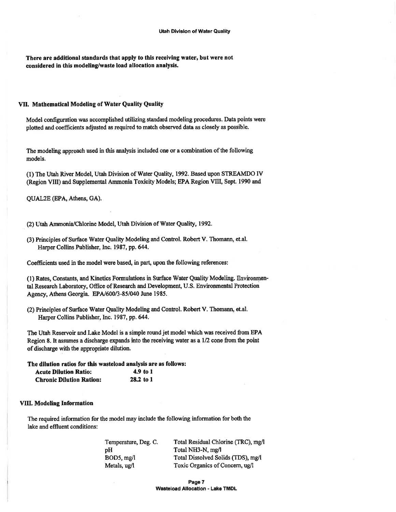There are additional standards that apply to this receiving water, but were not considered in this modeling/waste load allocetion analysis.

#### VII. Mathematical Modeling of Water Quality Quality

Model configuration was accomplished utilizing standard modeling procedures. Data points were plotted and coefficients adjusted æ required to match observed data as closely as possible.

The modeling approach used in this analysis included one or a combination of the following models.

(1) The Utah River Model, Utah Division of Water Quality, 1992. Based upon STREAMDO IV (Region VIII) and Supplemental Ammonia Toxicity Models; EPA Region VIII, Sept. 1990 and

QUAL2E (EPA, Athens, GA).

(2) Utah Ammonia/Chlorine Model, Utah Division of Water Quality, 1992.

(3) Principles of Suface Water Quality Modeling and Contol. Robert V. Thomann, et.al. Harper Collins Publisher, Inc. 1987, pp.644.

Coefticients used in the model were based, in part, upon the following references:

(1) Rates, Constants, and Kinetics Formulations in Surface Water Quality Modeling. Environmental Research Laboratory, Office of Research and Development, U.S. Environmental Protection Agency, Athens Georgia. EPA/600/3-85/040 June 1985.

(2) Principles of Surface Water Quality Modeling and Contol. Robert V. Thomann, et.al. Harper Collins Publisher, Inc. 1987, pp.644.

The Utah Reservoir and Lake Model is a simple round jet model which was received from EPA Region 8. It assumes a discharge expands into the receiving water as a 1/2 cone from the point of discharge with the appropriate dilution.

The dilution ratios for this wasteload analysis are as follows: Acute Dilution Ratio: 4.9 to I

Chronic Dilution Ration: 28.2 to 1

#### VIII. Modeling Information

The required information for the model may include the following information for both the lake and efiluent conditions:

> Temperature, Deg. C. pH BOD5, mg/l Metals, ug/l

Total Residual Chlorine (TRC), mg/l Total NH3-N, mg/l Total Dissolved Solids (TDS), mg/t Toxic Organics of Concem, ug/l

Page 7 wasteload Allocatlon - Lake TMDL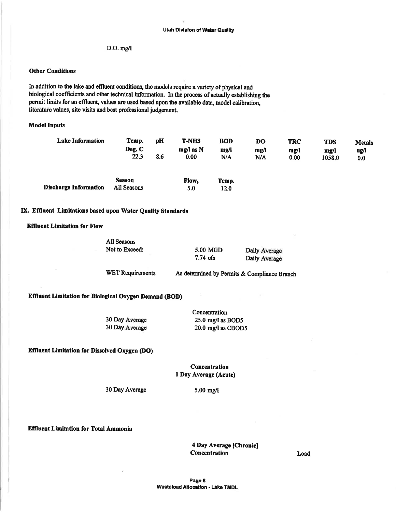## $D.O.$  mg/l

## **Other Conditions**

In addition to the lake and effluent conditions, the models require a variety of physical and biological coefficients and other technical information. In the process of actually establishing the permit limits for an effluent, values are used based upon the available data, model calibration, literature values, site visits and best professional judgement.

## **Model Inputs**

| <b>Lake Information</b>      | Temp.<br>Deg. C<br>22.3 | pH<br>8.6 | <b>T-NH3</b><br>mg/ln s N<br>0.00 | <b>BOD</b><br>mg/l<br>N/A | DO<br>mg/l<br>N/A | <b>TRC</b><br>mg/l<br>0.00 | <b>TDS</b><br>mg/l<br>1058.0 | <b>Metals</b><br>ug/l<br>0.0 |
|------------------------------|-------------------------|-----------|-----------------------------------|---------------------------|-------------------|----------------------------|------------------------------|------------------------------|
| <b>Discharge Information</b> | Season<br>All Seasons   |           | Flow,<br>5.0                      | Temp.<br>12.0             |                   |                            |                              |                              |

## IX. Effluent Limitations based upon Water Quality Standards

**Effluent Limitation for Flow** 

All Seasons Not to Exceed:

5.00 MGD Daily Average 7.74 cfs Daily Average

**WET Requirements** As determined by Permits & Compliance Branch

**Effluent Limitation for Biological Oxygen Demand (BOD)** 

30 Day Average 30 Day Average Concentration 25.0 mg/l as BOD5 20.0 mg/l as CBOD5

**Effluent Limitation for Dissolved Oxygen (DO)** 

Concentration 1 Day Average (Acute)

30 Day Average

5.00 mg/l

**Effluent Limitation for Total Ammonia** 

**4 Day Average [Chronic] Concentration** 

Load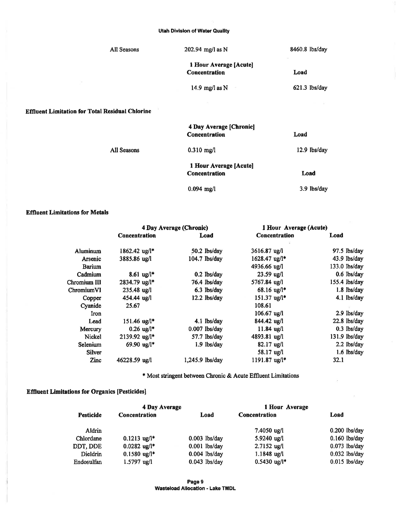202.94 mg/l as N

8460.8 lbs/day

1 Hour Average [Acute] Concentration

14.9 mg/l as N

621.3 lbs/day

Load

**Effluent Limitation for Total Residual Chlorine** 

All Seasons

|             | 4 Day Average [Chronic]<br><b>Concentration</b> | Load         |
|-------------|-------------------------------------------------|--------------|
|             |                                                 |              |
| All Seasons | $0.310$ mg/l                                    | 12.9 lbs/day |
|             |                                                 |              |
|             | 1 Hour Average [Acute]                          |              |
|             | Concentration                                   | Load         |
|             | $0.094$ mg/l                                    | 3.9 lbs/day  |

## **Effluent Limitations for Metals**

|               | 4 Day Average (Chronic) |                 | 1 Hour Average (Acute) |               |
|---------------|-------------------------|-----------------|------------------------|---------------|
|               | <b>Concentration</b>    | Load            | <b>Concentration</b>   | Load          |
| Aluminum      | 1862.42 ug/l*           | 50.2 lbs/day    | 3616.87 ug/l           | 97.5 lbs/day  |
| Arsenic       | 3885.86 ug/l            | 104.7 lbs/day   | 1628.47 ug/l*          | 43.9 lbs/day  |
| Barium        |                         |                 | 4936.66 ug/l           | 133.0 lbs/day |
| Cadmium       | 8.61 ug/ $\frac{1}{2}$  | $0.2$ lbs/day   | 23.59 ug/l             | $0.6$ lbs/day |
| Chromium III  | 2834.79 ug/l*           | 76.4 lbs/day    | 5767.84 ug/l           | 155.4 lbs/day |
| ChromiumVI    | 235.48 ug/l             | 6.3 lbs/day     | 68.16 ug/l*            | 1.8 lbs/day   |
| Copper        | 454.44 ug/l             | 12.2 lbs/day    | 151.37 ug/l*           | 4.1 lbs/day   |
| Cyanide       | 25.67                   |                 | 108.61                 |               |
| <b>Iron</b>   |                         |                 | $106.67$ ug/l          | 2.9 lbs/day   |
| Lead          | $151.46 \text{ ug}/l^*$ | 4.1 lbs/day     | 844.42 ug/l            | 22.8 lbs/day  |
| Mercury       | $0.26 \text{ ug/l}^*$   | $0.007$ lbs/day | $11.84 \text{ ug/l}$   | $0.3$ lbs/day |
| Nickel        | 2139.92 ug/l*           | 57.7 lbs/day    | 4893.81 ug/l           | 131.9 lbs/day |
| Selenium      | 69.90 ug/l*             | 1.9 lbs/day     | 82.17 ug/l             | 2.2 lbs/day   |
| <b>Silver</b> |                         |                 | 58.17 ug/l             | 1.6 lbs/day   |
| Zinc          | 46228.59 ug/l           | 1,245.9 lbs/day | 1191.87 ug/l*          | 32.1          |

\* Most stringent between Chronic & Acute Effluent Limitations

## **Effluent Limitations for Organics [Pesticides]**

| 4 Day Average    |                         | 1 Hour Average  |                        |                 |
|------------------|-------------------------|-----------------|------------------------|-----------------|
| <b>Pesticide</b> | <b>Concentration</b>    | Load            | <b>Concentration</b>   | Load            |
| Aldrin           |                         |                 | 7.4050 ug/l            | $0.200$ lbs/day |
| Chlordane        | $0.1213 \text{ ug}/l^*$ | $0.003$ lbs/day | 5.9240 ug/l            | $0.160$ lbs/day |
| DDT, DDE         | $0.0282$ ug/l*          | $0.001$ lbs/day | 2.7152 ug/l            | $0.073$ lbs/day |
| Dieldrin         | $0.1580 \text{ ug}/l^*$ | $0.004$ lbs/day | $1.1848$ ug/l          | $0.032$ lbs/day |
| Endosulfan       | $1.5797$ ug/l           | $0.043$ lbs/day | $0.5430 \text{ ug/l*}$ | $0.015$ lbs/day |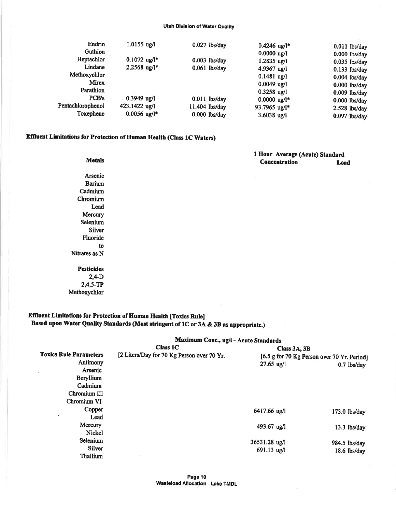| Endrin            | $1.0155$ ug/l  | $0.027$ lbs/day | $0.4246$ ug/l*          | $0.011$ lbs/day |
|-------------------|----------------|-----------------|-------------------------|-----------------|
| <b>Guthion</b>    |                |                 | $0.0000 \text{ ug/l}$   | $0.000$ lbs/day |
| Heptachlor        | $0.1072$ ug/l* | $0.003$ lbs/day | $1.2835$ ug/l           | $0.035$ lbs/day |
| Lindane           | 2.2568 ug/l*   | $0.061$ lbs/day | 4.9367 $\mu$ g/l        | $0.133$ lbs/day |
| Methoxychlor      |                |                 | $0.1481$ ug/l           | $0.004$ lbs/day |
| <b>Mirex</b>      |                |                 | $0.0049$ ug/l           | $0.000$ lbs/day |
| Parathion         |                |                 | $0.3258$ ug/l           | 0.009 lbs/day   |
| PCB's             | $0.3949$ ug/l  | $0.011$ lbs/day | $0.0000 \text{ ug}/l^*$ | $0.000$ lbs/day |
| Pentachlorophenol | 423.1422 ug/l  | 11.404 lbs/day  | 93.7965 ug/l*           | $2.528$ lbs/day |
| Toxephene         | $0.0056$ ug/l* | $0.000$ lbs/day | $3.6038$ ug/l           | $0.097$ lbs/day |
|                   |                |                 |                         |                 |

# Effluent Limitations for Protection of Human Health (Class 1C Waters)

|                   | 1 Hour Average (Acute) Standard |      |  |
|-------------------|---------------------------------|------|--|
| <b>Metals</b>     | Concentration                   | Load |  |
| Arsenic           |                                 |      |  |
| <b>Barium</b>     |                                 |      |  |
| Cadmium           |                                 |      |  |
| Chromium          |                                 |      |  |
| Lead              |                                 |      |  |
| Mercury           |                                 |      |  |
| Selenium          |                                 |      |  |
| <b>Silver</b>     |                                 |      |  |
| Fluoride          |                                 |      |  |
| to                |                                 |      |  |
| Nitrates as N     |                                 |      |  |
| <b>Pesticides</b> |                                 |      |  |
| $2,4-D$           |                                 |      |  |
| $2,4,5-TP$        |                                 |      |  |
| Methoxychlor      |                                 |      |  |
|                   | n.                              |      |  |

# Effluent Limitations for Protection of Human Health [Toxics Rule] Based upon Water Quality Standards (Most stringent of 1C or 3A & 3B as appropriate.)

## Maximum Conc., ug/l - Acute Standards

|                               | <b>Class 1C</b>                            | Class 3A, 3B          |                                             |
|-------------------------------|--------------------------------------------|-----------------------|---------------------------------------------|
| <b>Toxics Rule Parameters</b> | [2 Liters/Day for 70 Kg Person over 70 Yr. |                       | [6.5 g for 70 Kg Person over 70 Yr. Period] |
| <b>Antimony</b>               |                                            | $27.65 \text{ ug/l}$  | 0.7 lbs/day                                 |
| Arsenic                       |                                            |                       |                                             |
| Beryllium                     |                                            |                       |                                             |
| Cadmium                       |                                            |                       |                                             |
| Chromium III                  |                                            |                       |                                             |
| Chromium VI                   |                                            |                       |                                             |
| Copper                        |                                            | 6417.66 ug/l          | $173.0$ lbs/day                             |
| $\bullet$<br>Lead             |                                            |                       |                                             |
| Mercury                       |                                            | 493.67 ug/l           | $13.3$ lbs/day                              |
| Nickel                        |                                            |                       |                                             |
| Selenium                      |                                            | 36531.28 ug/l         | 984.5 lbs/day                               |
| Silver                        |                                            | $691.13 \text{ ug/l}$ | 18.6 lbs/day                                |
| Thallium                      | $\mathcal{D}_{\mathcal{A}}$ .              |                       |                                             |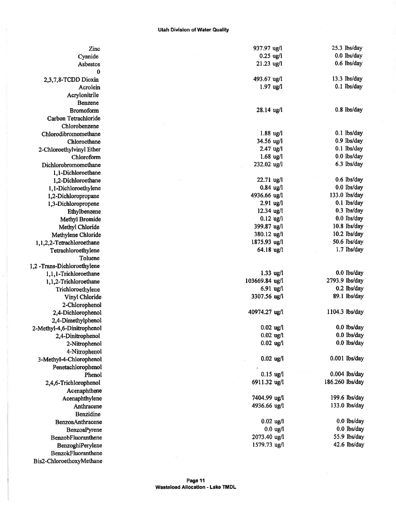| Zinc                        | 937.97 ug/l          | 25.3 lbs/day    |
|-----------------------------|----------------------|-----------------|
| Cyanide                     | $0.25$ ug/l          | 0.0 lbs/day     |
| Asbestos                    | $21.23$ ug/l         | 0.6 lbs/day     |
| $\bf{0}$                    |                      |                 |
| 2,3,7,8-TCDD Dioxin         | 493.67 ug/l          | 13.3 lbs/day    |
| Acrolein                    | $1.97 \text{ ug}$ /1 | 0.1 lbs/day     |
| Acrylonitrile               |                      |                 |
| Benzene                     |                      |                 |
| <b>Bromoform</b>            | 28.14 ug/l           | 0.8 lbs/day     |
| Carbon Tetrachloride        |                      |                 |
| Chlorobenzene               |                      |                 |
| Chlorodibromomethane        | $1.88$ ug/l          | 0.1 lbs/day     |
| Chloroethane                | 34.56 ug/l           | 0.9 lbs/day     |
| 2-Chloroethylvinyl Ether    | $2.47$ ug/l          | 0.1 lbs/day     |
| Chloroform                  | $1.68$ ug/l          | 0.0 lbs/day     |
| Dichlorobromomethane        | 232.02 ug/l          | 6.3 lbs/day     |
| 1,1-Dichloroethane          |                      |                 |
| 1,2-Dichloroethane          | 22.71 ug/l           | 0.6 lbs/day     |
| 1,1-Dichloroethylene        | $0.84 \text{ ug}/1$  | 0.0 lbs/day     |
| 1,2-Dichloropropane         | 4936.66 ug/l         | 133.0 lbs/day   |
| 1,3-Dichloropropene         | $2.91$ ug/l          | 0.1 lbs/day     |
| Ethylbenzene                | $12.34 \text{ ug}/1$ | 0.3 lbs/day     |
| Methyl Bromide              | $0.12$ ug/l          | 0.0 lbs/day     |
| Methyl Chloride             | 399.87 ug/l          | 10.8 lbs/day    |
| Methylene Chloride          | 380.12 ug/l          | 10.2 lbs/day    |
| 1,1,2,2-Tetrachloroethane   | 1875.93 ug/l         | 50.6 lbs/day    |
| Tetrachloroethylene         | 64.18 ug/l           | 1.7 lbs/day     |
| Toluene                     |                      |                 |
| 1,2 -Trans-Dichloroethylene |                      |                 |
| 1,1,1-Trichloroethane       | $1.33$ ug/l          | 0.0 lbs/day     |
| 1,1,2-Trichloroethane       | 103669.84 ug/l       | 2793.9 lbs/day  |
| Trichloroethylene           | $6.91$ ug/l          | 0.2 lbs/day     |
| Vinyl Chloride              | 3307.56 ug/l         | 89.1 lbs/day    |
| 2-Chlorophenol              |                      |                 |
| 2,4-Dichlorophenol          | 40974.27 ug/l        | 1104.3 lbs/day  |
| 2,4-Dimethylphenol          |                      |                 |
| 2-Methyl-4,6-Dinitrophenol  | $0.02 \text{ ug}$ /l | 0.0 lbs/day     |
| 2,4-Dinitrophenol           | $0.02$ ug/l          | 0.0 lbs/day     |
| 2-Nitrophenol               | $0.02$ ug/l          | 0.0 lbs/day     |
| 4-Nitrophenol               |                      |                 |
| 3-Methyl-4-Chlorophenol     | $0.02$ ug/l          | 0.001 lbs/day   |
| Penetachlorophenol          |                      |                 |
| Phenol                      | $0.15$ ug/l          | $0.004$ lbs/day |
| 2,4,6-Trichlorophenol       | 6911.32 ug/l         | 186.260 lbs/day |
| Acenaphthene                |                      |                 |
| Acenaphthylene              | 7404.99 ug/l         | 199.6 lbs/day   |
| Anthracene                  | 4936.66 ug/l         | 133.0 lbs/day   |
| Benzidine                   |                      |                 |
| BenzoaAnthracene            | $0.02$ ug/l          | 0.0 lbs/day     |
| <b>BenzoaPyrene</b>         | $0.0 \text{ ug/l}$   | 0.0 lbs/day     |
| BenzobFluoranthene          | 2073.40 ug/l         | 55.9 lbs/day    |
| BenzoghiPerylene            | 1579.73 ug/l         | 42.6 lbs/day    |
| <b>BenzokFluoranthene</b>   |                      |                 |
|                             |                      |                 |

Bis2-ChloroethoxyMethane

Ľ,

 $\chi)$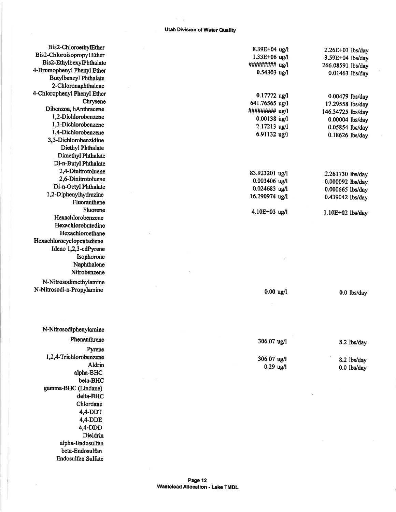| Bis2-ChloroethylEther                      |
|--------------------------------------------|
| Bis2-Chloroisopropy1Ether                  |
| Bis2-EthylbexylPhthalate                   |
| 4-Bromophenyl Phenyl Ether                 |
| Butylbenzyl Phthalate                      |
| 2-Chloronaphthalene                        |
| 4-Chlorophenyl Phenyl Ether                |
| Chrysene                                   |
| Dibenzoa, hAnthracene                      |
| 1,2-Dichlorobenzene                        |
| 1,3-Dichlorobenzene                        |
| 1,4-Dichlorobenzene                        |
| 3,3-Dichlorobenzidine                      |
| Diethyl Phthalate                          |
| Dimethyl Phthalate                         |
| Di-n-Butyl Phthalate                       |
| 2,4-Dinitrotoluene                         |
| 2,6-Dinitrotoluene                         |
| Di-n-Octyl Phthalate                       |
| 1,2-Diphenylhydrazine                      |
| Fluoranthene                               |
| Fluorene                                   |
| Hexachlorobenzene                          |
| Hexachlorobutedine                         |
| Hexachloroethane                           |
| Hexachlorocyclopentadiene                  |
| Ideno 1,2,3-cdPyrene                       |
| Isophorone                                 |
| Naphthalene                                |
| Nitrobenzene                               |
| وبالمستمر المستلف ومسالة<br><b>AT ATIL</b> |

N-Nitrosodimethylamine N-Nitrosodi-n-Propylamine

> N-Nitrosodiphenylamine Phenanthrene Pyrene 1,2,4-Trichlorobenzene Aldrin alpha-BHC beta-BHC gamma-BHC (Lindane) delta-BHC Chlordane 4,4-DDT  $4,4$ -DDE  $4,4$ -DDD Dieldrin alpha-Endosulfan beta-Endosulfan Endosulfan Sulfate

| $2.26E+03$ lbs/day |  |
|--------------------|--|
| 3.59E+04 lbs/day   |  |
| 266.08591 lbs/day  |  |
| $0.01463$ lbs/day  |  |

0.17772 ug/l 0.00479 lbs/day 641.76565 ug/l 17.29558 lbs/day ######### ug/l 146.34725 lbs/day 0.00138 ug/l 0.00004 lbs/day 2.17213 ug/l 0.05854 lbs/day 6.91132 ug/l 0.18626 lbs/day

8.39E+04 ug/l

1.33E+06 ug/l

0.54303 ug/l

######### ug/l

| 83.923201 ug/l  | 2.261730 lbs/day |
|-----------------|------------------|
| 0.003406 ug/l   | 0.000092 lbs/day |
| $0.024683$ ug/l | 0.000665 lbs/day |
| 16.290974 ug/l  | 0.439042 lbs/day |
| 4.10E+03 ug/l   | 1.10E+02 lbs/day |

|  | $0.00 \text{ ug/l}$ |
|--|---------------------|
|  |                     |

0.0 lbs/day

| 306.07 ug/l | 8.2 lbs/day   |
|-------------|---------------|
| 306.07 ug/l | 8.2 lbs/day   |
| $0.29$ ug/l | $0.0$ lbs/day |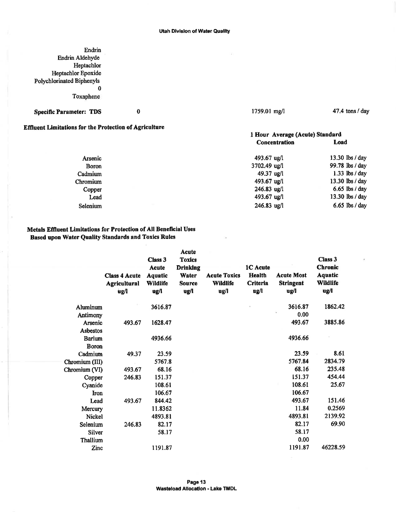Endrin Endrin Aldehyde Heptachlor Heptachlor Epoxide Polychlorinated Biphenyls  $\mathbf 0$ Toxaphene

## **Specific Parameter: TDS**

 $\bf{0}$ 

1759.01 mg/l

1 Hour Average (Acute) Standard

47.4 tons / day

## **Effluent Limitations for the Protection of Agriculture**

|              | Load<br><b>Concentration</b> |                  |
|--------------|------------------------------|------------------|
| Arsenic      | 493.67 ug/l                  | 13.30 lbs / day  |
| <b>Boron</b> | 3702.49 ug/l                 | 99.78 lbs / day  |
| Cadmium      | 49.37 ug/l                   | $1.33$ lbs / day |
| Chromium     | 493.67 ug/l                  | 13.30 lbs / day  |
| Copper       | $246.83$ ug/l                | $6.65$ lbs / day |
| Lead         | 493.67 ug/l                  | 13.30 lbs / day  |
| Selenium     | 246.83 ug/l                  | $6.65$ lbs / day |

# Metals Effluent Limitations for Protection of All Beneficial Uses **Based upon Water Quality Standards and Toxics Rules**

|                | <b>Class 4 Acute</b><br><b>Agricultural</b><br>$\mathbf{u} \mathbf{g} / \mathbf{I}$ | <b>Class 3</b><br>Acute<br><b>Aquatic</b><br><b>Wildlife</b><br>ug/l | Acute<br><b>Toxics</b><br><b>Drinking</b><br>Water<br><b>Source</b><br>ug/l | <b>Acute Toxics</b><br>Wildlife<br>ug/l | 1C Acute<br><b>Health</b><br><b>Criteria</b><br>ug/l | <b>Acute Most</b><br><b>Stringent</b><br>ug/l | Class 3<br><b>Chronic</b><br><b>Aquatic</b><br>Wildlife<br>ug/l |
|----------------|-------------------------------------------------------------------------------------|----------------------------------------------------------------------|-----------------------------------------------------------------------------|-----------------------------------------|------------------------------------------------------|-----------------------------------------------|-----------------------------------------------------------------|
| Aluminum       |                                                                                     | 3616.87                                                              |                                                                             |                                         |                                                      | 3616.87                                       | 1862.42                                                         |
| Antimony       |                                                                                     |                                                                      |                                                                             |                                         |                                                      | ×<br>0.00                                     |                                                                 |
| Arsenic        | 493.67                                                                              | 1628.47                                                              |                                                                             |                                         |                                                      | 493.67                                        | 3885.86                                                         |
| Asbestos       |                                                                                     |                                                                      |                                                                             |                                         |                                                      |                                               |                                                                 |
| <b>Barium</b>  |                                                                                     | 4936.66                                                              |                                                                             |                                         |                                                      | 4936.66                                       |                                                                 |
| <b>Boron</b>   |                                                                                     |                                                                      |                                                                             |                                         |                                                      |                                               |                                                                 |
| Cadmium        | 49.37                                                                               | 23.59                                                                |                                                                             |                                         |                                                      | 23.59                                         | 8.61                                                            |
| Chromium (III) |                                                                                     | 5767.8                                                               |                                                                             |                                         |                                                      | 5767.84                                       | 2834.79                                                         |
| Chromium (VI)  | 493.67                                                                              | 68.16                                                                |                                                                             |                                         |                                                      | 68.16                                         | 235.48                                                          |
| Copper         | 246.83                                                                              | 151.37                                                               |                                                                             |                                         |                                                      | 151.37                                        | 454.44                                                          |
| Cyanide        |                                                                                     | 108.61                                                               |                                                                             |                                         |                                                      | 108.61                                        | 25.67                                                           |
| <b>Iron</b>    |                                                                                     | 106.67                                                               |                                                                             |                                         |                                                      | 106.67                                        |                                                                 |
| Lead           | 493.67                                                                              | 844.42                                                               |                                                                             |                                         |                                                      | 493.67                                        | 151.46                                                          |
| Mercury        |                                                                                     | 11.8362                                                              |                                                                             |                                         |                                                      | 11.84                                         | 0.2569                                                          |
| <b>Nickel</b>  |                                                                                     | 4893.81                                                              |                                                                             |                                         |                                                      | 4893.81                                       | 2139.92                                                         |
| Selenium       | 246.83                                                                              | 82.17                                                                |                                                                             |                                         |                                                      | 82.17                                         | 69.90                                                           |
| <b>Silver</b>  |                                                                                     | 58.17                                                                |                                                                             |                                         |                                                      | 58.17                                         |                                                                 |
| Thallium       |                                                                                     |                                                                      |                                                                             |                                         |                                                      | 0.00                                          |                                                                 |
| Zinc           |                                                                                     | 1191.87                                                              |                                                                             |                                         |                                                      | 1191.87                                       | 46228.59                                                        |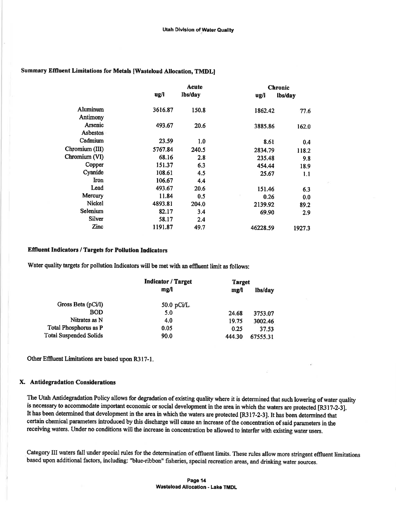## Summary Effluent Limitations for Metals [Wasteload Allocation, TMDL]

|                | $\mathbf{u}\mathbf{g}/\mathbf{I}$ | Acute<br>lbs/day | ug/l     | <b>Chronic</b><br>lbs/day |
|----------------|-----------------------------------|------------------|----------|---------------------------|
| Aluminum       | 3616.87                           | 150.8            | 1862.42  | 77.6                      |
| Antimony       |                                   |                  |          |                           |
| Arsenic        | 493.67                            | 20.6             | 3885.86  | 162.0                     |
| Asbestos       |                                   |                  |          |                           |
| Cadmium        | 23.59                             | 1.0              | 8.61     | 0.4                       |
| Chromium (III) | 5767.84                           | 240.5            | 2834.79  | 118.2                     |
| Chromium (VI)  | 68.16                             | 2.8              | 235.48   | 9.8                       |
| Copper         | 151.37                            | 6.3              | 454.44   | 18.9                      |
| Cyanide        | 108.61                            | 4.5              | 25.67    | 1.1                       |
| <b>Iron</b>    | 106.67                            | 4.4              |          |                           |
| Lead           | 493.67                            | 20.6             | 151.46   | 6.3                       |
| Mercury        | 11.84                             | 0.5              | 0.26     | 0.0                       |
| <b>Nickel</b>  | 4893.81                           | 204.0            | 2139.92  | 89.2                      |
| Selenium       | 82.17                             | 3.4              | 69.90    | 2.9                       |
| Silver         | 58.17                             | 2.4              |          |                           |
| Zinc           | 1191.87                           | 49.7             | 46228.59 | 1927.3                    |

## **Effluent Indicators / Targets for Pollution Indicators**

Water quality targets for pollution Indicators will be met with an effluent limit as follows:

|                               | <b>Indicator</b> / Target | <b>Target</b> |          |  |
|-------------------------------|---------------------------|---------------|----------|--|
|                               | mg/l                      | mg/l          | lbs/day  |  |
| Gross Beta (pCi/l)            | 50.0 pCi/L.               |               |          |  |
| <b>BOD</b>                    | 5.0                       | 24.68         | 3753.07  |  |
| Nitrates as N                 | 4.0                       | 19.75         | 3002.46  |  |
| Total Phosphorus as P         | 0.05                      | 0.25          | 37.53    |  |
| <b>Total Suspended Solids</b> | 90.0                      | 444.30        | 67555.31 |  |

Other Effluent Limitations are based upon R317-1.

## X. Antidegradation Considerations

The Utah Antidegradation Policy allows for degradation of existing quality where it is determined that such lowering of water quality is necessary to accommodate important economic or social development in the area in which the waters are protected [R317-2-3]. It has been determined that development in the area in which the waters are protected [R317-2-3]. It has been determined that certain chemical parameters introduced by this discharge will cause an increase of the concentration of said parameters in the receiving waters. Under no conditions will the increase in concentration be allowed to interfer with existing water users.

Category III waters fall under special rules for the determination of effluent limits. These rules allow more stringent effluent limitations based upon additional factors, including: "blue-ribbon" fisheries, special recreation areas, and drinking water sources.